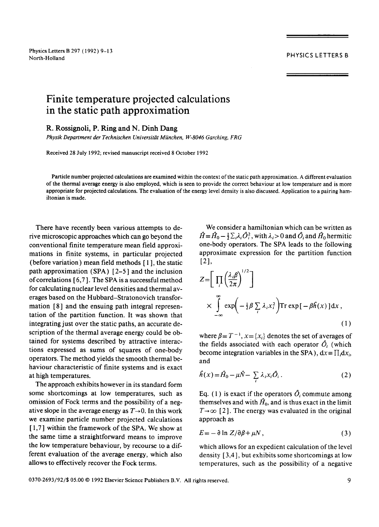## **Finite temperature projected calculations in the static path approximation**

## **R. Rossignoli, P.** Ring and **N. Dinh** Dang

*Physik Department der Technischen Universitiit Mfinchen, W-8046 Garching, FRG* 

Received 28 July 1992; revised manuscript received 8 October 1992

Particle number projected calculations are examined within the context of the static path approximation. A different evaluation of the thermal average energy is also employed, which is seen to provide the correct behaviour at low temperature and is more appropriate for projected calculations. The evaluation of the energy level density is also discussed. Application to a pairing hamiltonian is made.

There have recently been various attempts to derive microscopic approaches which can go beyond the conventional finite temperature mean field approximations in finite systems, in particular projected (before variation) mean field methods [ 1 ], the static path approximation (SPA) [2-5 ] and the inclusion of correlations  $[6,7]$ . The SPA is a successful method for calculating nuclear level densities and thermal averages based on the Hubbard-Stratonovich transformation [8] and the ensuing path integral representation of the partition function. It was shown that integrating just over the static paths, an accurate description of the thermal average energy could be obtained for systems described by attractive interactions expressed as sums of squares of one-body operators. The method yields the smooth thermal behaviour characteristic of finite systems and is exact at high temperatures.

The approach exhibits however in its standard form some shortcomings at low temperatures, such as omission of Fock terms and the possibility of a negative slope in the average energy as  $T\rightarrow 0$ . In this work we examine particle number projected calculations [ 1,7] within the framework of the SPA. We show at the same time a straightforward means to improve the low temperature behaviour, by recourse to a different evaluation of the average energy, which also allows to effectively recover the Fock terms.

We consider a hamiltonian which can be written as  $\hat{H} = \hat{H}_0 - \frac{1}{2} \sum_i \lambda_i \hat{O}_i^2$ , with  $\lambda_i > 0$  and  $\hat{O}_i$  and  $\hat{H}_0$  hermitic one-body operators. The SPA leads to the following approximate expression for the partition function  $[2]$ ,

$$
Z = \left[ \prod_{i} \left( \frac{\lambda_{i} \beta}{2\pi} \right)^{1/2} \right]
$$
  
 
$$
\times \int_{-\infty}^{\infty} \exp\left( -\frac{1}{2} \beta \sum_{i} \lambda_{i} x_{i}^{2} \right) \text{Tr} \exp\left[ -\beta \hat{h}(x) \right] dx ,
$$
 (1)

where  $\beta = T^{-1}$ ,  $x = \{x_i\}$  denotes the set of averages of the fields associated with each operator  $\hat{O}_i$  (which become integration variables in the SPA),  $dx = \prod_i dx_i$ , and

$$
\hat{h}(x) = \hat{H}_0 - \mu \hat{N} - \sum_i \lambda_i x_i \hat{O}_i \,. \tag{2}
$$

Eq. (1) is exact if the operators  $\hat{O}_i$  commute among themselves and with  $H_0$ , and is thus exact in the limit  $T\rightarrow\infty$  [2]. The energy was evaluated in the original approach as

$$
E = -\partial \ln Z / \partial \beta + \mu N \,, \tag{3}
$$

which allows for an expedient calculation of the level density [ 3,4 ], but exhibits some shortcomings at low temperatures, such as the possibility of a negative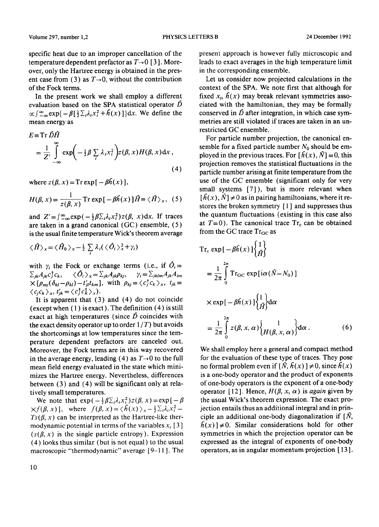specific heat due to an improper cancellation of the temperature dependent prefactor as  $T\rightarrow 0$  [3]. Moreover, only the Hartree energy is obtained in the present case from (3) as  $T\rightarrow 0$ , without the contribution of the Fock terms.

In the present work we shall employ a different evaluation based on the SPA statistical operator  $\hat{D}$  $\alpha \int_{-\infty}^{\infty} \exp\{-\beta [\frac{1}{2} \sum_{i} \lambda_i x_i^2 + \hat{h}(x)]\} dx$ . We define the mean energy as

$$
E \equiv \operatorname{Tr} DH
$$
  
=  $\frac{1}{Z'} \int_{-\infty}^{\infty} \exp\left(-\frac{1}{2}\beta \sum_{i} \lambda_{i} x_{i}^{2}\right) z(\beta, x) H(\beta, x) dx$ , (4)

where  $z(\beta, x) = Tr \exp[-\beta \hat{h}(x)],$ 

$$
H(\beta, x) = \frac{1}{z(\beta, x)} \operatorname{Tr} \exp\left[-\beta \hat{h}(x)\right] \hat{H} \equiv \langle \hat{H} \rangle_x, (5)
$$

and  $Z'=\int_{-\infty}^{\infty} \exp(-\frac{1}{2}\beta \sum_i \lambda_i x_i^2) z(\beta, x) dx$ . If traces are taken in a grand canonical (GC) ensemble, (5) is the usual finite temperature Wick's theorem average

$$
\langle \hat{H} \rangle_x = \langle \hat{H}_0 \rangle_x - \frac{1}{2} \sum_i \lambda_i (\langle \hat{O}_i \rangle_x^2 + \gamma_i)
$$

with  $\gamma_i$  the Fock or exchange terms (i.e., if  $\hat{O}_i =$  $\sum_{jk}A_{jk}C_{j}^{\dagger}C_{k}$ ,  $\langle \hat{O}_{i} \rangle_{x} = \sum_{jk}A_{jk}\rho_{kj}$ ,  $\gamma_{i} = \sum_{jklm}A_{jk}A_{lm}$  $\times [\rho_{mi}(\delta_{kl}-\rho_{kl})-t'_{jl}t_{km}],$  with  $\rho_{kj}=\langle c^{\dagger}_j c_k\rangle_x$ ,  $t_{jk}=$  $\langle c_j c_k \rangle_x$ ,  $t'_{ik} = \langle c_j^{\dagger} c_k^{\dagger} \rangle_x$ .

It is apparent that  $(3)$  and  $(4)$  do not coincide (except when  $(1)$  is exact). The definition  $(4)$  is still exact at high temperatures (since  $\hat{D}$  coincides with the exact density operator up to order  $1/T$ ) but avoids the shortcomings at low temperatures since the temperature dependent prefactors are canceled out. Moreover, the Fock terms are in this way recovered in the average energy, leading (4) as  $T\rightarrow 0$  to the full mean field energy evaluated in the state which minimizes the Hartree energy. Nevertheless, differences between (3) and (4) will be significant only at relatively small temperatures.

We note that  $\exp(-\frac{1}{2}\beta\Sigma_i\lambda_i x_i^2)z(\beta, x)=\exp[-\beta]$  $\chi f(\beta, x)$ ], where  $f(\beta, x) = \langle \hat{h}(x) \rangle_{x} - \frac{1}{2} \sum_{i} \lambda_{i} x_{i}^{2}$  - $Ts(\beta, x)$  can be interpreted as the Hartree-like thermodynamic potential in terms of the variables  $x_i$  [3]  $(s(\beta, x))$  is the single particle entropy). Expression (4) looks thus similar (but is not equal) to the usual macroscopic "thermodynamic" average [9-11 ]. The present approach is however fully microscopic and leads to exact averages in the high temperature limit in the corresponding ensemble.

Let us consider now projected calculations in the context of the SPA. We note first that although for fixed  $x_i$ ,  $h(x)$  may break relevant symmetries associated with the hamiltonian, they may be formally conserved in  $\hat{D}$  after integration, in which case symmetries are still violated if traces are taken in an unrestricted GC ensemble.

For particle number projection, the canonical ensemble for a fixed particle number  $N_0$  should be employed in the previous traces. For  $[f(x), \hat{N}] = 0$ , this projection removes the statistical fluctuations in the panicle number arising at finite temperature from the use of the GC ensemble (significant only for very small systems [7]), but is more relevant when  $[*h*(x), *N*] \neq 0$  as in pairing hamiltonians, where it restores the broken symmetry [ 1 ] and suppresses thus the quantum fluctuations (existing in this case also at  $T=0$ ). The canonical trace  $Tr_c$  can be obtained from the GC trace  $Tr_{GC}$  as

$$
Tr_{c} \exp[-\beta \hat{h}(x)]\begin{cases}1\\ \hat{H}\end{cases}
$$
  
\n
$$
=\frac{1}{2\pi} \int_{0}^{2\pi} Tr_{GC} \exp[i\alpha(\hat{N}-N_{0})]
$$
  
\n
$$
\times \exp[-\beta \hat{h}(x)]\begin{cases}1\\ \hat{H}\end{cases} d\alpha
$$
  
\n
$$
=\frac{1}{2\pi} \int_{0}^{2\pi} z(\beta, x, \alpha)\begin{cases}1\\ H(\beta, x, \alpha)\end{cases} d\alpha.
$$
 (6)

We shall employ here a general and compact method for the evaluation of these type of traces. They pose no formal problem even if  $[\hat{N}, \hat{h}(x)] \neq 0$ , since  $\hat{h}(x)$ is a one-body operator and the product of exponents of one-body operators is the exponent of a one-body operator [12]. Hence,  $H(\beta, x, \alpha)$  is *again* given by the usual Wick's theorem expression. The exact projection entails thus an additional integral and in principle an additional one-body diagonalization if  $[N,$  $h(x)$ ]  $\neq$  0. Similar considerations hold for other symmetries in which the projection operator can be expressed as the integral of exponents of one-body operators, as in angular momentum projection [ 13 ].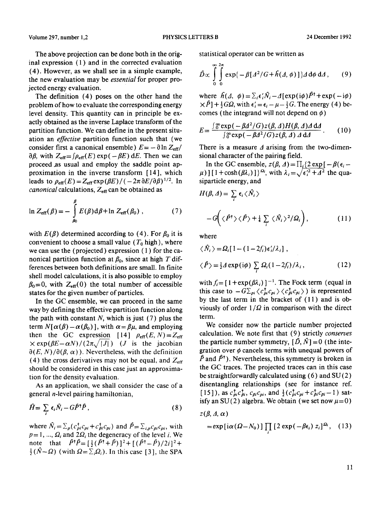The above projection can be done both in the original expression ( 1 ) and in the corrected evaluation (4). However, as we shall see in a simple example, the new evaluation may be *essential* for proper projected energy evaluation.

The definition (4) poses on the other hand the problem of how to evaluate the corresponding energy level density. This quantity can in principle be exactly obtained as the inverse Laplace transform of the partition function. We can define in the present situation an *effective* partition function such that (we consider first a canonical ensemble)  $E = -\frac{\partial \ln Z_{\text{eff}}}{\partial t}$  $\partial \beta$ , with  $Z_{\text{eff}} = \int \rho_{\text{eff}}(E) \exp(-\beta E) dE$ . Then we can proceed .as usual and employ the saddle point approximation in the inverse transform [ 14 ], which leads to  $\rho_{\text{eff}}(E) = Z_{\text{eff}} \exp(\beta E) / (-2\pi \partial E / \partial \beta)^{1/2}$ . In *canonical* calculations, Z<sub>eff</sub> can be obtained as

$$
\ln Z_{\rm eff}(\beta) = -\int_{\beta_0}^{\beta} E(\beta) \mathrm{d}\beta + \ln Z_{\rm eff}(\beta_0) , \qquad (7)
$$

with  $E(\beta)$  determined according to (4). For  $\beta_0$  it is convenient to choose a small value  $(T_0 \text{ high})$ , where we can use the (projected) expression ( 1 ) for the canonical partition function at  $\beta_0$ , since at high T differences between both definitions are small. In finite shell model calculations, it is also possible to employ  $\beta_0=0$ , with  $Z_{\text{eff}}(0)$  the total number of accessible states for the given number of particles.

In the GC ensemble, we can proceed in the same way by defining the effective partition function along the path with constant  $N$ , which is just (7) plus the term  $N[\alpha(\beta) - \alpha(\beta_0)]$ , with  $\alpha = \beta\mu$ , and employing then the GC expression [14]  $\rho_{\text{eff}}(E, N) = Z_{\text{eff}}$  $\times$  exp( $\beta E-\alpha N$ )/( $2\pi\sqrt{|J|}$ ) (*J* is the jacobian  $\partial(E, N)/\partial(\beta, \alpha)$ . Nevertheless, with the definition (4) the cross derivatives may not be equal, and  $Z_{\text{eff}}$ should be considered in this case just an approximation for the density evaluation.

As an application, we shall consider the case of a general n-level pairing hamiltonian,

$$
\hat{H} = \sum_{i} \epsilon_{i} \hat{N}_{i} - G \hat{P}^{\dagger} \hat{P}, \qquad (8)
$$

where  $\hat{N}_i = \sum_p (c_{pi}^{\dagger} c_{pi} + c_{pi}^{\dagger} c_{pi})$  and  $\hat{P} = \sum_{i,p} c_{pi}^{\dagger} c_{pi}$ , with  $p = 1, ..., \Omega_i$  and  $2\Omega_i$  the degeneracy of the level i. We note that  $\hat{P}^{\dagger}\hat{P} = [\frac{1}{2}(\hat{P}^{\dagger}+\hat{P})]^2 + [(\hat{P}^{\dagger}-\hat{P})/2i]^2 +$  $\frac{1}{2}(\hat{N}-\Omega)$  (with  $\Omega = \sum_i \Omega_i$ ). In this case [3], the SPA statistical operator can be written as

$$
\hat{D}\propto\int_{0}^{\infty}\int_{0}^{2\pi}\exp\{-\beta[A^2/G+\hat{h}(\Delta,\phi)]\}\Delta d\phi d\Delta,
$$
 (9)

where  $\hat{h}(\Delta, \phi) = \sum_i \epsilon_i' \hat{N}_i - \Delta [\exp(i\phi) \hat{P}^{\dagger} + \exp(-i\phi)]$  $\times \hat{P}$ ] +  $\frac{1}{2}G\Omega$ , with  $\epsilon'_i = \epsilon_i - \mu - \frac{1}{2}G$ . The energy (4) becomes (the integrand will not depend on  $\phi$ )

$$
E = \frac{\int \mathfrak{F} \exp\left(-\beta \Delta^2/G\right) z(\beta, \Delta) H(\beta, \Delta) \Delta \, \mathrm{d} \Delta}{\int \mathfrak{F} \exp\left(-\beta \Delta^2/G\right) z(\beta, \Delta) \, \Delta \, \mathrm{d} \Delta} \,. \tag{10}
$$

There is a measure  $\Delta$  arising from the two-dimensional character of the pairing field.

In the GC ensemble,  $z(\beta, \Delta) = \prod_i \{2 \exp[-\beta(\epsilon_i - \Delta)]\}$  $\mu$ ) ] [ 1 + cosh( $\beta \lambda_i$ ) ]  $^{Q_i}$ , with  $\lambda_i = \sqrt{\epsilon_i'^2 + A^2}$  the quasiparticle energy, and

$$
H(\beta, \Delta) = \sum_{i} \epsilon_{i} \langle \hat{N}_{i} \rangle
$$
  
-
$$
G\left(\langle \hat{P}^{\dagger} \rangle \langle \hat{P} \rangle + \frac{1}{4} \sum_{i} \langle \hat{N}_{i} \rangle^{2} / \Omega_{i} \right),
$$
 (11)

where

$$
\langle \dot{N}_i \rangle = \Omega_i [1 - (1 - 2f_i) \epsilon'_i / \lambda_i],
$$
  

$$
\langle \hat{P} \rangle = \frac{1}{2} A \exp(i\phi) \sum_i \Omega_i (1 - 2f_i) / \lambda_i,
$$
 (12)

with  $f_i = [1 + \exp(\beta \lambda_i)]^{-1}$ . The Fock term (equal in this case to  $-G\Sigma_{pi} \langle c_{pi}^{\dagger} c_{pi} \rangle \langle c_{pi}^{\dagger} c_{pi} \rangle)$  is represented by the last term in the bracket of  $(11)$  and is obviously of order  $1/\Omega$  in comparison with the direct term.

We consider now the particle number projected calculation. We note first that (9) strictly *conserves*  the particle number symmetry,  $[\hat{D}, \hat{N}] = 0$  (the integration over  $\phi$  cancels terms with unequal powers of  $\hat{P}$  and  $\hat{P}$ <sup>†</sup>). Nevertheless, this symmetry is broken in the GC traces. The projected traces can in this case be straightforwardly calculated using  $(6)$  and  $SU(2)$ disentangling relationships (see for instance ref.  $[15]$ ), as  $c_{pi}^{\dagger} c_{pi}^{\dagger}$ ,  $c_{pi}^{\dagger} c_{pi}$ , and  $\frac{1}{2} (c_{pi}^{\dagger} c_{pi} + c_{pi}^{\dagger} c_{pi} - 1)$  satisfy an SU(2) algebra. We obtain (we set now  $\mu = 0$ )

 $z(\beta, \Delta, \alpha)$ 

$$
= \exp[i\alpha(\Omega - N_0)] \prod_i \left[2 \exp(-\beta \epsilon_i) z_i\right]^{\Omega_i}, \quad (13)
$$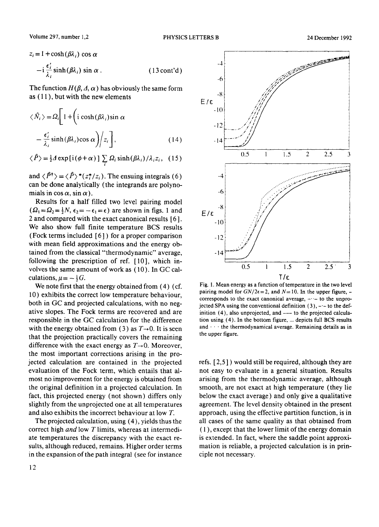$$
z_i = 1 + \cosh(\beta \lambda_i) \cos \alpha
$$
  
- i  $\frac{\epsilon'_i}{\lambda_i} \sinh(\beta \lambda_i) \sin \alpha$ . (13 cont'd)

The function  $H(\beta, \Delta, \alpha)$  has obviously the same form as  $(11)$ , but with the new elements

$$
\langle \hat{N}_i \rangle = \Omega_i \left[ 1 + \left( i \cosh(\beta \lambda_i) \sin \alpha \right. \right. \\ \left. - \frac{\epsilon'_i}{\lambda_i} \sinh(\beta \lambda_i) \cos \alpha \right) / z_i \right], \tag{14}
$$

$$
\langle \hat{P} \rangle = \frac{1}{2} \Delta \exp[i(\phi + \alpha)] \sum_{i} \Omega_i \sinh(\beta \lambda_i) / \lambda_i z_i, (15)
$$

and  $\langle \hat{P}^{\dagger} \rangle = \langle \hat{P} \rangle^* (z_i^*/z_i)$ . The ensuing integrals (6) can be done analytically (the integrands are polynomials in cos  $\alpha$ , sin  $\alpha$ ).

Results for a half filled two level pairing model  $(\Omega_1=\Omega_2=\frac{1}{2}N, \epsilon_2=-\epsilon_1=\epsilon)$  are shown in figs. 1 and 2 and compared with the exact canonical results [ 6 ]. We also show full finite temperature BCS results (Fock terms included [6] ) for a proper comparison with mean field approximations and the energy obtained from the classical "thermodynamic" average, following the prescription of ref. [ 10], which involves the same amount of work as (10). In GC calculations,  $\mu = -\frac{1}{2}G$ .

We note first that the energy obtained from  $(4)$  (cf. 10) exhibits the correct low temperature behaviour, both in GC and projected calculations, with no negative slopes. The Fock terms are recovered and are responsible in the GC calculation for the difference with the energy obtained from (3) as  $T\rightarrow 0$ . It is seen that the projection practically covers the remaining difference with the exact energy as  $T\rightarrow 0$ . Moreover, the most important corrections arising in the projected calculation are contained in the projected evaluation of the Fock term, which entails that almost no improvement for the energy is obtained from the original definition in a projected calculation. In fact, this projected energy (not shown) differs only slightly from the unprojected one at all temperatures and also exhibits the incorrect behaviour at low T.

The projected calculation, using (4), yields thus the correct high *and* low T limits, whereas at intermediate temperatures the discrepancy with the exact resuits, although reduced, remains. Higher order terms in the expansion of the path integral (see for instance



Fig. 1. Mean energy as a function of temperature in the two level pairing model for  $GN/2\epsilon = 2$ , and  $N=10$ . In the upper figure, corresponds to the exact canonical average,  $-\cdot$ - to the unprojected SPA using the conventional definition  $(3)$ ,  $-$  - to the definition (4), also unprojected, and --- to the projected calculation using (4). In the bottom figure, ... depicts full BCS results and  $\cdots$  the thermodynamical average. Remaining details as in the upper figure.

refs. [2,5 ] ) would still be required, although they are not easy to evaluate in a general situation. Results arising from the thermodynamic average, although smooth, are not exact at high temperature (they lie below the exact average) and only give a qualitative agreement. The level density obtained in the present approach, using the effective partition function, is in all cases of the same quality as that obtained from ( 1 ), except that the lower limit of the energy domain is extended. In fact, where the saddle point approximation is reliable, a projected calculation is in principle not necessary.